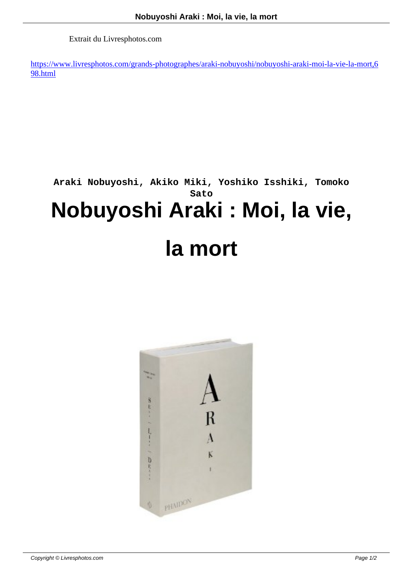Extrait du Livresphotos.com

https://www.livresphotos.com/grands-photographes/araki-nobuyoshi/nobuyoshi-araki-moi-la-vie-la-mort,6 98.html

## **Araki Nobuyoshi, Akiko Miki, Yoshiko Isshiki, Tomoko Sato Nobuyoshi Araki : Moi, la vie,**

## **la mort**